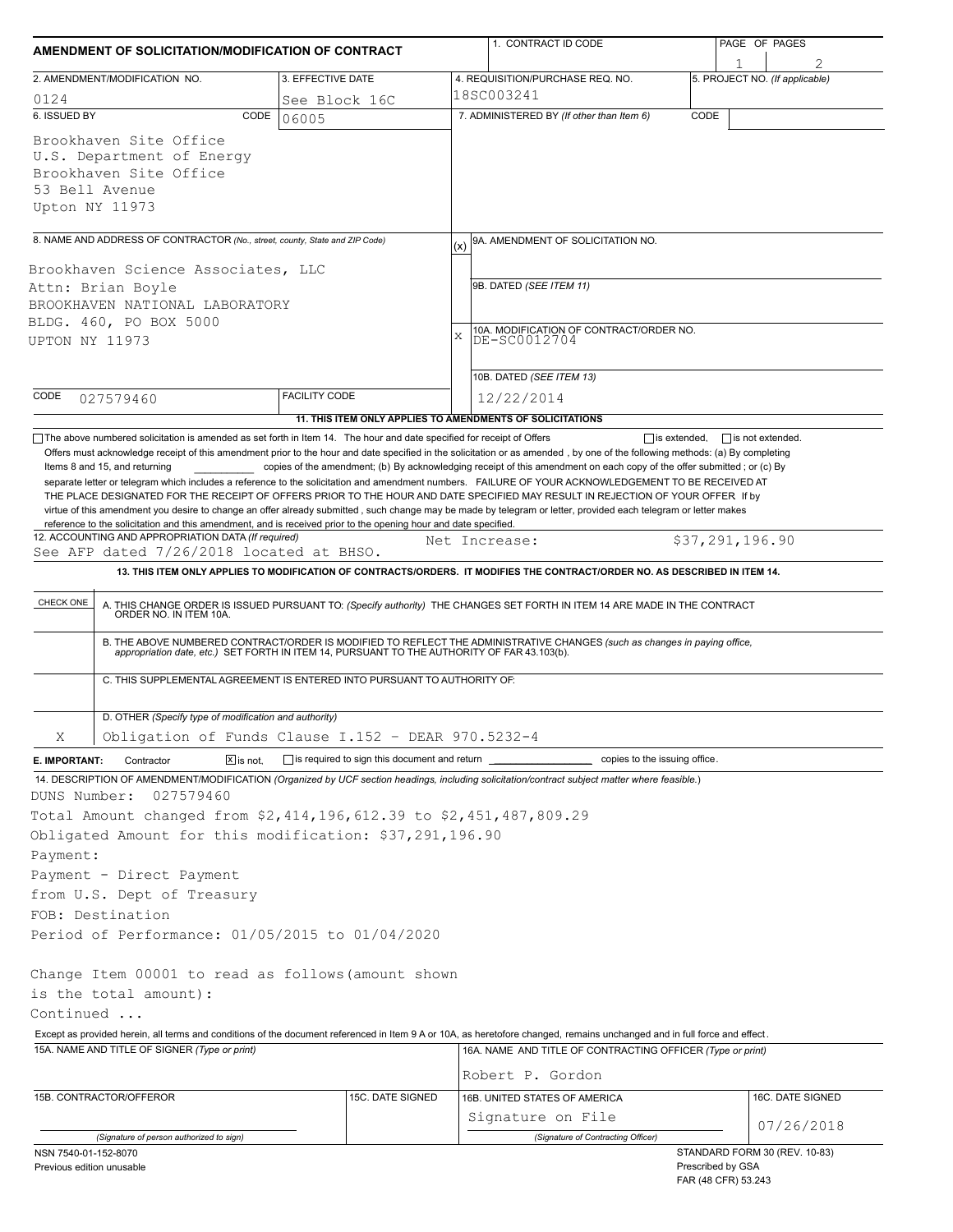| AMENDMENT OF SOLICITATION/MODIFICATION OF CONTRACT |                                                                                                                                                                                                                    |                                                           |     | 1. CONTRACT ID CODE                                                                                                                                                                                                                                                                                                 |      | PAGE OF PAGES                                                             |  |  |
|----------------------------------------------------|--------------------------------------------------------------------------------------------------------------------------------------------------------------------------------------------------------------------|-----------------------------------------------------------|-----|---------------------------------------------------------------------------------------------------------------------------------------------------------------------------------------------------------------------------------------------------------------------------------------------------------------------|------|---------------------------------------------------------------------------|--|--|
| 2. AMENDMENT/MODIFICATION NO.<br>3. EFFECTIVE DATE |                                                                                                                                                                                                                    |                                                           |     | 4. REQUISITION/PURCHASE REQ. NO.                                                                                                                                                                                                                                                                                    |      | 5. PROJECT NO. (If applicable)                                            |  |  |
| 0124<br>See Block 16C                              |                                                                                                                                                                                                                    |                                                           |     | 18SC003241                                                                                                                                                                                                                                                                                                          |      |                                                                           |  |  |
| 6. ISSUED BY                                       | CODE                                                                                                                                                                                                               | 06005                                                     |     | 7. ADMINISTERED BY (If other than Item 6)                                                                                                                                                                                                                                                                           | CODE |                                                                           |  |  |
|                                                    | Brookhaven Site Office<br>U.S. Department of Energy<br>Brookhaven Site Office<br>53 Bell Avenue<br>Upton NY 11973                                                                                                  |                                                           |     |                                                                                                                                                                                                                                                                                                                     |      |                                                                           |  |  |
|                                                    | 8. NAME AND ADDRESS OF CONTRACTOR (No., street, county, State and ZIP Code)                                                                                                                                        |                                                           |     | 9A. AMENDMENT OF SOLICITATION NO.                                                                                                                                                                                                                                                                                   |      |                                                                           |  |  |
|                                                    |                                                                                                                                                                                                                    |                                                           | (x) |                                                                                                                                                                                                                                                                                                                     |      |                                                                           |  |  |
|                                                    | Brookhaven Science Associates, LLC                                                                                                                                                                                 |                                                           |     |                                                                                                                                                                                                                                                                                                                     |      |                                                                           |  |  |
|                                                    | Attn: Brian Boyle                                                                                                                                                                                                  |                                                           |     | 9B. DATED (SEE ITEM 11)                                                                                                                                                                                                                                                                                             |      |                                                                           |  |  |
|                                                    | BROOKHAVEN NATIONAL LABORATORY<br>BLDG. 460, PO BOX 5000                                                                                                                                                           |                                                           |     |                                                                                                                                                                                                                                                                                                                     |      |                                                                           |  |  |
| UPTON NY 11973                                     |                                                                                                                                                                                                                    |                                                           | X   | 10A. MODIFICATION OF CONTRACT/ORDER NO.<br>DE-SC0012704                                                                                                                                                                                                                                                             |      |                                                                           |  |  |
|                                                    |                                                                                                                                                                                                                    |                                                           |     |                                                                                                                                                                                                                                                                                                                     |      |                                                                           |  |  |
|                                                    |                                                                                                                                                                                                                    |                                                           |     | 10B. DATED (SEE ITEM 13)                                                                                                                                                                                                                                                                                            |      |                                                                           |  |  |
| CODE                                               | 027579460                                                                                                                                                                                                          | <b>FACILITY CODE</b>                                      |     | 12/22/2014                                                                                                                                                                                                                                                                                                          |      |                                                                           |  |  |
|                                                    |                                                                                                                                                                                                                    | 11. THIS ITEM ONLY APPLIES TO AMENDMENTS OF SOLICITATIONS |     |                                                                                                                                                                                                                                                                                                                     |      |                                                                           |  |  |
|                                                    | $\Box$ The above numbered solicitation is amended as set forth in Item 14. The hour and date specified for receipt of Offers                                                                                       |                                                           |     | Offers must acknowledge receipt of this amendment prior to the hour and date specified in the solicitation or as amended, by one of the following methods: (a) By completing                                                                                                                                        |      | $\Box$ is extended. $\Box$ is not extended.                               |  |  |
|                                                    | reference to the solicitation and this amendment, and is received prior to the opening hour and date specified.<br>12. ACCOUNTING AND APPROPRIATION DATA (If required)<br>See AFP dated 7/26/2018 located at BHSO. |                                                           |     | THE PLACE DESIGNATED FOR THE RECEIPT OF OFFERS PRIOR TO THE HOUR AND DATE SPECIFIED MAY RESULT IN REJECTION OF YOUR OFFER If by<br>virtue of this amendment you desire to change an offer already submitted, such change may be made by telegram or letter, provided each telegram or letter makes<br>Net Increase: |      | \$37,291,196.90                                                           |  |  |
|                                                    |                                                                                                                                                                                                                    |                                                           |     | 13. THIS ITEM ONLY APPLIES TO MODIFICATION OF CONTRACTS/ORDERS. IT MODIFIES THE CONTRACT/ORDER NO. AS DESCRIBED IN ITEM 14.                                                                                                                                                                                         |      |                                                                           |  |  |
| CHECK ONE                                          |                                                                                                                                                                                                                    |                                                           |     |                                                                                                                                                                                                                                                                                                                     |      |                                                                           |  |  |
|                                                    | A. THIS CHANGE ORDER IS ISSUED PURSUANT TO: (Specify authority) THE CHANGES SET FORTH IN ITEM 14 ARE MADE IN THE CONTRACT ORDER NO. IN ITEM 10A.                                                                   |                                                           |     |                                                                                                                                                                                                                                                                                                                     |      |                                                                           |  |  |
|                                                    |                                                                                                                                                                                                                    |                                                           |     | B. THE ABOVE NUMBERED CONTRACT/ORDER IS MODIFIED TO REFLECT THE ADMINISTRATIVE CHANGES (such as changes in paying office, appropriation date, etc.) SET FORTH IN ITEM 14, PURSUANT TO THE AUTHORITY OF FAR 43.103(b).                                                                                               |      |                                                                           |  |  |
|                                                    | C. THIS SUPPLEMENTAL AGREEMENT IS ENTERED INTO PURSUANT TO AUTHORITY OF:                                                                                                                                           |                                                           |     |                                                                                                                                                                                                                                                                                                                     |      |                                                                           |  |  |
|                                                    | D. OTHER (Specify type of modification and authority)                                                                                                                                                              |                                                           |     |                                                                                                                                                                                                                                                                                                                     |      |                                                                           |  |  |
| Χ                                                  | Obligation of Funds Clause I.152 - DEAR 970.5232-4                                                                                                                                                                 |                                                           |     |                                                                                                                                                                                                                                                                                                                     |      |                                                                           |  |  |
| E. IMPORTANT:                                      | Contractor<br>$\sqrt{X}$ is not.                                                                                                                                                                                   | is required to sign this document and return ______       |     | copies to the issuing office.                                                                                                                                                                                                                                                                                       |      |                                                                           |  |  |
|                                                    |                                                                                                                                                                                                                    |                                                           |     | 14. DESCRIPTION OF AMENDMENT/MODIFICATION (Organized by UCF section headings, including solicitation/contract subject matter where feasible.)                                                                                                                                                                       |      |                                                                           |  |  |
| DUNS Number:                                       | 027579460                                                                                                                                                                                                          |                                                           |     |                                                                                                                                                                                                                                                                                                                     |      |                                                                           |  |  |
|                                                    | Total Amount changed from \$2,414,196,612.39 to \$2,451,487,809.29                                                                                                                                                 |                                                           |     |                                                                                                                                                                                                                                                                                                                     |      |                                                                           |  |  |
|                                                    | Obligated Amount for this modification: \$37,291,196.90                                                                                                                                                            |                                                           |     |                                                                                                                                                                                                                                                                                                                     |      |                                                                           |  |  |
| Payment:                                           |                                                                                                                                                                                                                    |                                                           |     |                                                                                                                                                                                                                                                                                                                     |      |                                                                           |  |  |
|                                                    | Payment - Direct Payment                                                                                                                                                                                           |                                                           |     |                                                                                                                                                                                                                                                                                                                     |      |                                                                           |  |  |
|                                                    | from U.S. Dept of Treasury                                                                                                                                                                                         |                                                           |     |                                                                                                                                                                                                                                                                                                                     |      |                                                                           |  |  |
|                                                    | FOB: Destination                                                                                                                                                                                                   |                                                           |     |                                                                                                                                                                                                                                                                                                                     |      |                                                                           |  |  |
|                                                    | Period of Performance: 01/05/2015 to 01/04/2020                                                                                                                                                                    |                                                           |     |                                                                                                                                                                                                                                                                                                                     |      |                                                                           |  |  |
|                                                    | Change Item 00001 to read as follows (amount shown                                                                                                                                                                 |                                                           |     |                                                                                                                                                                                                                                                                                                                     |      |                                                                           |  |  |
|                                                    |                                                                                                                                                                                                                    |                                                           |     |                                                                                                                                                                                                                                                                                                                     |      |                                                                           |  |  |
| Continued                                          | is the total amount):                                                                                                                                                                                              |                                                           |     |                                                                                                                                                                                                                                                                                                                     |      |                                                                           |  |  |
|                                                    |                                                                                                                                                                                                                    |                                                           |     |                                                                                                                                                                                                                                                                                                                     |      |                                                                           |  |  |
|                                                    | 15A. NAME AND TITLE OF SIGNER (Type or print)                                                                                                                                                                      |                                                           |     | Except as provided herein, all terms and conditions of the document referenced in Item 9 A or 10A, as heretofore changed, remains unchanged and in full force and effect.<br>16A. NAME AND TITLE OF CONTRACTING OFFICER (Type or print)                                                                             |      |                                                                           |  |  |
|                                                    |                                                                                                                                                                                                                    |                                                           |     |                                                                                                                                                                                                                                                                                                                     |      |                                                                           |  |  |
|                                                    |                                                                                                                                                                                                                    |                                                           |     | Robert P. Gordon                                                                                                                                                                                                                                                                                                    |      |                                                                           |  |  |
|                                                    | 15B. CONTRACTOR/OFFEROR                                                                                                                                                                                            | 15C. DATE SIGNED                                          |     | 16B. UNITED STATES OF AMERICA                                                                                                                                                                                                                                                                                       |      | 16C. DATE SIGNED                                                          |  |  |
|                                                    |                                                                                                                                                                                                                    |                                                           |     | Signature on File                                                                                                                                                                                                                                                                                                   |      | 07/26/2018                                                                |  |  |
|                                                    | (Signature of person authorized to sign)                                                                                                                                                                           |                                                           |     | (Signature of Contracting Officer)                                                                                                                                                                                                                                                                                  |      |                                                                           |  |  |
| NSN 7540-01-152-8070<br>Previous edition unusable  |                                                                                                                                                                                                                    |                                                           |     |                                                                                                                                                                                                                                                                                                                     |      | STANDARD FORM 30 (REV. 10-83)<br>Prescribed by GSA<br>FAR (48 CFR) 53.243 |  |  |